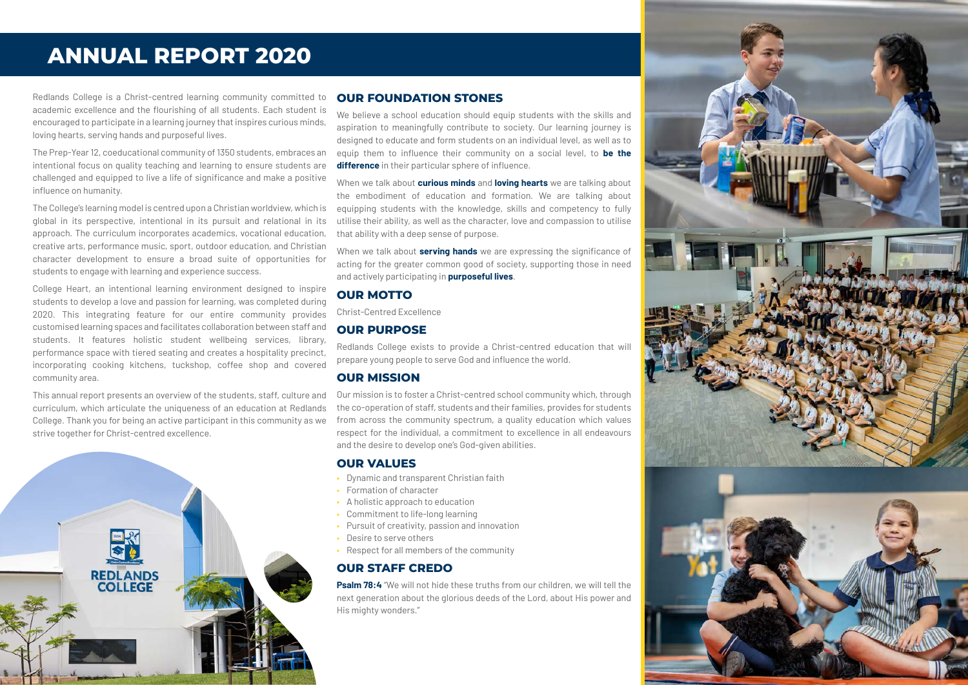## **ANNUAL REPORT 2020**

Redlands College is a Christ-centred learning community committed to academic excellence and the flourishing of all students. Each student is encouraged to participate in a learning journey that inspires curious minds, loving hearts, serving hands and purposeful lives.

The Prep-Year 12, coeducational community of 1350 students, embraces an intentional focus on quality teaching and learning to ensure students are challenged and equipped to live a life of significance and make a positive influence on humanity.

The College's learning model is centred upon a Christian worldview, which is global in its perspective, intentional in its pursuit and relational in its approach. The curriculum incorporates academics, vocational education, creative arts, performance music, sport, outdoor education, and Christian character development to ensure a broad suite of opportunities for students to engage with learning and experience success.

College Heart, an intentional learning environment designed to inspire students to develop a love and passion for learning, was completed during 2020. This integrating feature for our entire community provides customised learning spaces and facilitates collaboration between staff and students. It features holistic student wellbeing services, library, performance space with tiered seating and creates a hospitality precinct, incorporating cooking kitchens, tuckshop, coffee shop and covered community area.

This annual report presents an overview of the students, staff, culture and curriculum, which articulate the uniqueness of an education at Redlands College. Thank you for being an active participant in this community as we strive together for Christ-centred excellence.



#### **OUR FOUNDATION STONES**

We believe a school education should equip students with the skills and aspiration to meaningfully contribute to society. Our learning journey is designed to educate and form students on an individual level, as well as to equip them to influence their community on a social level, to **be the difference** in their particular sphere of influence.

When we talk about **curious minds** and **loving hearts** we are talking about the embodiment of education and formation. We are talking about equipping students with the knowledge, skills and competency to fully utilise their ability, as well as the character, love and compassion to utilise that ability with a deep sense of purpose.

When we talk about **serving hands** we are expressing the significance of acting for the greater common good of society, supporting those in need and actively participating in **purposeful lives**.

#### **OUR MOTTO**

Christ-Centred Excellence

### **OUR PURPOSE**

Redlands College exists to provide a Christ-centred education that will prepare young people to serve God and influence the world.

#### **OUR MISSION**

Our mission is to foster a Christ-centred school community which, through the co-operation of staff, students and their families, provides for students from across the community spectrum, a quality education which values respect for the individual, a commitment to excellence in all endeavours and the desire to develop one's God-given abilities.

#### **OUR VALUES**

- Dynamic and transparent Christian faith
- Formation of character
- A holistic approach to education
- Commitment to life-long learning
- Pursuit of creativity, passion and innovation
- Desire to serve others
- Respect for all members of the community

### **OUR STAFF CREDO**

**Psalm 78:4** "We will not hide these truths from our children, we will tell the next generation about the glorious deeds of the Lord, about His power and His mighty wonders."

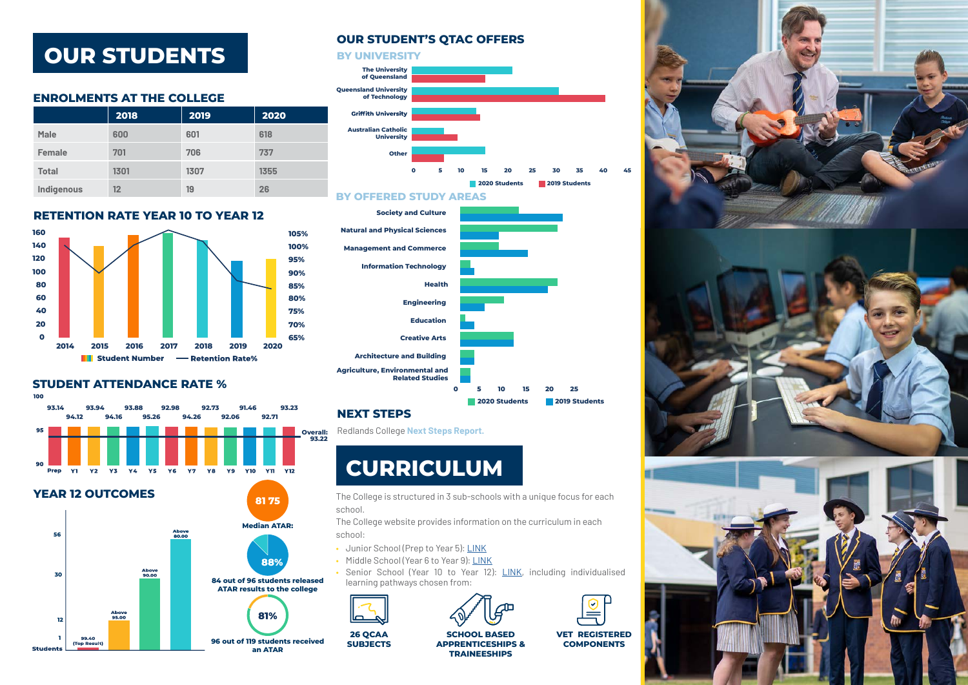## **OUR STUDENTS**

### **ENROLMENTS AT THE COLLEGE**

|              | 2018 | 2019 | 2020 |
|--------------|------|------|------|
| <b>Male</b>  | 600  | 601  | 618  |
| Female       | 701  | 706  | 737  |
| <b>Total</b> | 1301 | 1307 | 1355 |
| Indigenous   | 12   | 19   | 26   |

### **RETENTION RATE YEAR 10 TO YEAR 12**



### **STUDENT ATTENDANCE RATE %**

100

 $Q<sub>E</sub>$ 



**94.12 94.16 95.26 94.26 92.06 92.71 93.14 93.94 93.88 92.98 92.73 91.46 93.23** 

### **OUR STUDENT'S QTAC OFFERS**







## **NEXT STEPS**

**26 QCAA** 

Redlands College **[Next Steps Report.](https://redlands.qld.edu.au/wp-content/uploads/2020-Next-Step-Detailed-Report.pdf)**

# **CURRICULUM**

The College is structured in 3 sub-schools with a unique focus for each school.

The College website provides information on the curriculum in each school:

- Junior School (Prep to Year 5): [LINK](https://redlands.qld.edu.au/our-schools/junior-school/)
- Middle School (Year 6 to Year 9): [LINK](https://redlands.qld.edu.au/our-schools/middle-school/)
- Senior School (Year 10 to Year 12): [LINK](https://redlands.qld.edu.au/our-schools/senior-school/), including individualised learning pathways chosen from:





**SCHOOL BASED APPRENTICESHIPS & TRAINEESHIPS**

**VET REGISTERED COMPONENTS** 

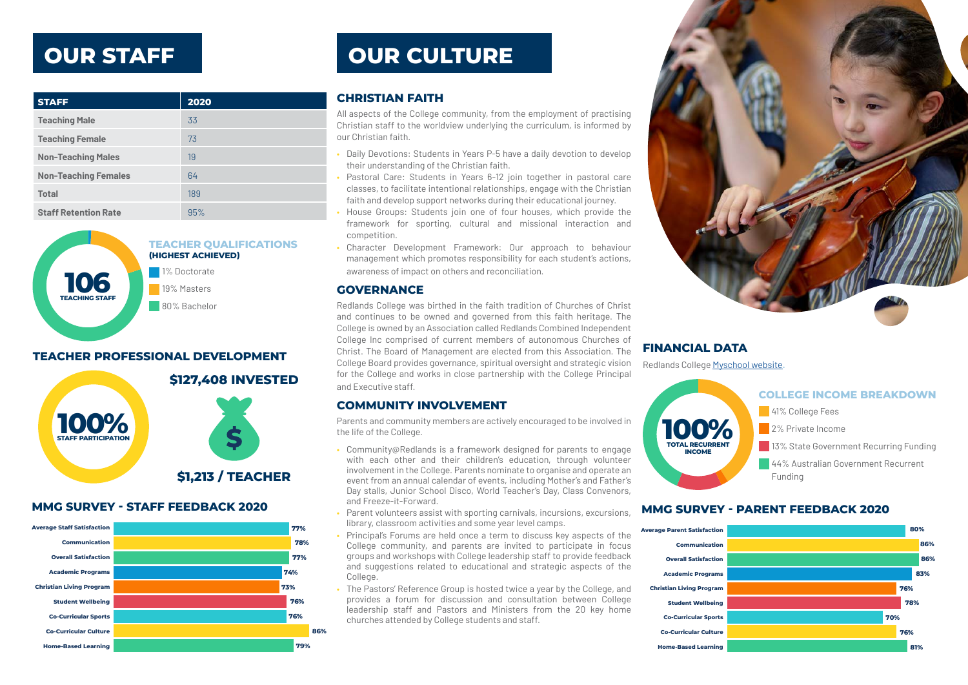## **OUR STAFF**

| <b>STAFF</b>                | 2020 |
|-----------------------------|------|
| <b>Teaching Male</b>        | 33   |
| <b>Teaching Female</b>      | 73   |
| <b>Non-Teaching Males</b>   | 19   |
| <b>Non-Teaching Females</b> | 64   |
| <b>Total</b>                | 189  |
| <b>Staff Retention Rate</b> | 95%  |



### **TEACHER PROFESSIONAL DEVELOPMENT**



#### **MMG SURVEY - STAFF FEEDBACK 2020** *MMG SURVEY - PARENT FEEDBACK 2020*



# **OUR CULTURE**

### **CHRISTIAN FAITH**

All aspects of the College community, from the employment of practising Christian staff to the worldview underlying the curriculum, is informed by our Christian faith.

- Daily Devotions: Students in Years P-5 have a daily devotion to develop their understanding of the Christian faith.
- Pastoral Care: Students in Years 6-12 join together in pastoral care classes, to facilitate intentional relationships, engage with the Christian faith and develop support networks during their educational journey.
- House Groups: Students join one of four houses, which provide the framework for sporting, cultural and missional interaction and competition.
- Character Development Framework: Our approach to behaviour management which promotes responsibility for each student's actions, awareness of impact on others and reconciliation.

#### **GOVERNANCE**

Redlands College was birthed in the faith tradition of Churches of Christ and continues to be owned and governed from this faith heritage. The College is owned by an Association called Redlands Combined Independent College Inc comprised of current members of autonomous Churches of Christ. The Board of Management are elected from this Association. The College Board provides governance, spiritual oversight and strategic vision for the College and works in close partnership with the College Principal and Executive staff.

### **COMMUNITY INVOLVEMENT**

Parents and community members are actively encouraged to be involved in the life of the College.

- Community@Redlands is a framework designed for parents to engage with each other and their children's education, through volunteer involvement in the College. Parents nominate to organise and operate an event from an annual calendar of events, including Mother's and Father's Day stalls, Junior School Disco, World Teacher's Day, Class Convenors, and Freeze-it-Forward.
- Parent volunteers assist with sporting carnivals, incursions, excursions, library, classroom activities and some year level camps.
- Principal's Forums are held once a term to discuss key aspects of the College community, and parents are invited to participate in focus groups and workshops with College leadership staff to provide feedback and suggestions related to educational and strategic aspects of the College.
- The Pastors' Reference Group is hosted twice a year by the College, and provides a forum for discussion and consultation between College leadership staff and Pastors and Ministers from the 20 key home churches attended by College students and staff.



## **FINANCIAL DATA**

Redlands College [Myschool website](https://www.myschool.edu.au/school/48092)**.**